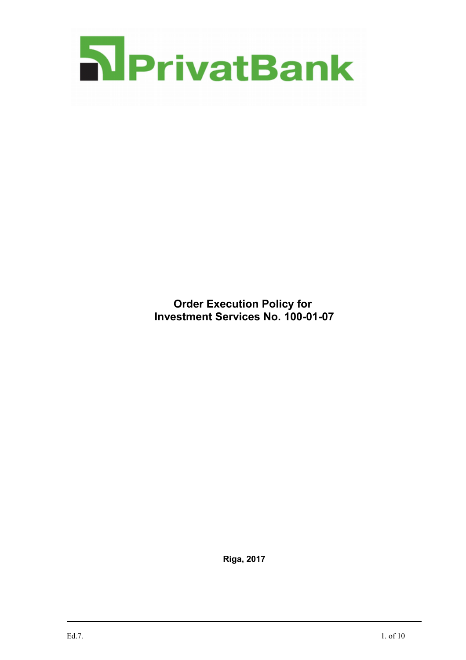

**Order Execution Policy for Investment Services No. 100-01-07**

**Riga, 2017**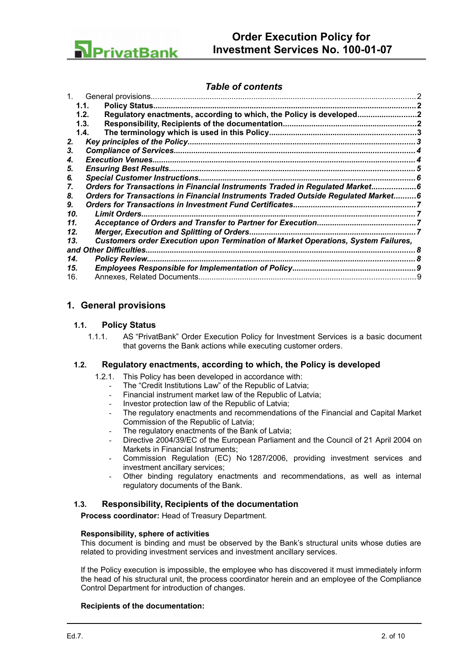

## *Table of contents*

|                        | 1.1.                                                                              |  |  |  |
|------------------------|-----------------------------------------------------------------------------------|--|--|--|
|                        | Regulatory enactments, according to which, the Policy is developed<br>1.2.        |  |  |  |
|                        | 1.3.                                                                              |  |  |  |
|                        | 1.4.                                                                              |  |  |  |
| 2.                     |                                                                                   |  |  |  |
| 3.                     |                                                                                   |  |  |  |
| 4.                     |                                                                                   |  |  |  |
| 5.                     |                                                                                   |  |  |  |
| 6.                     |                                                                                   |  |  |  |
| 7.                     | Orders for Transactions in Financial Instruments Traded in Regulated Market6      |  |  |  |
| 8.                     | Orders for Transactions in Financial Instruments Traded Outside Regulated Market6 |  |  |  |
| 9.                     |                                                                                   |  |  |  |
| 10.                    |                                                                                   |  |  |  |
| 11.                    |                                                                                   |  |  |  |
| 12.                    |                                                                                   |  |  |  |
| 13.                    | Customers order Execution upon Termination of Market Operations, System Failures, |  |  |  |
| and Other Difficulties |                                                                                   |  |  |  |
| 14.                    | <b>Policy Review.</b>                                                             |  |  |  |
| 15.                    |                                                                                   |  |  |  |
| 16.                    |                                                                                   |  |  |  |
|                        |                                                                                   |  |  |  |

## <span id="page-1-0"></span>**1. General provisions**

### **1.1. Policy Status**

<span id="page-1-3"></span>1.1.1. AS "PrivatBank" Order Execution Policy for Investment Services is a basic document that governs the Bank actions while executing customer orders.

#### **1.2. Regulatory enactments, according to which, the Policy is developed**

- <span id="page-1-2"></span>1.2.1. This Policy has been developed in accordance with:
	- The "Credit Institutions Law" of the Republic of Latvia;
	- Financial instrument market law of the Republic of Latvia;
	- Investor protection law of the Republic of Latvia;
	- The regulatory enactments and recommendations of the Financial and Capital Market Commission of the Republic of Latvia;
	- The regulatory enactments of the Bank of Latvia;
	- Directive 2004/39/EC of the European Parliament and the Council of 21 April 2004 on Markets in Financial Instruments;
	- Commission Regulation (EC) No 1287/2006, providing investment services and investment ancillary services;
	- Other binding regulatory enactments and recommendations, as well as internal regulatory documents of the Bank.

## **1.3. Responsibility, Recipients of the documentation**

<span id="page-1-1"></span>**Process coordinator:** Head of Treasury Department.

#### **Responsibility, sphere of activities**

This document is binding and must be observed by the Bank's structural units whose duties are related to providing investment services and investment ancillary services.

If the Policy execution is impossible, the employee who has discovered it must immediately inform the head of his structural unit, the process coordinator herein and an employee of the Compliance Control Department for introduction of changes.

#### **Recipients of the documentation:**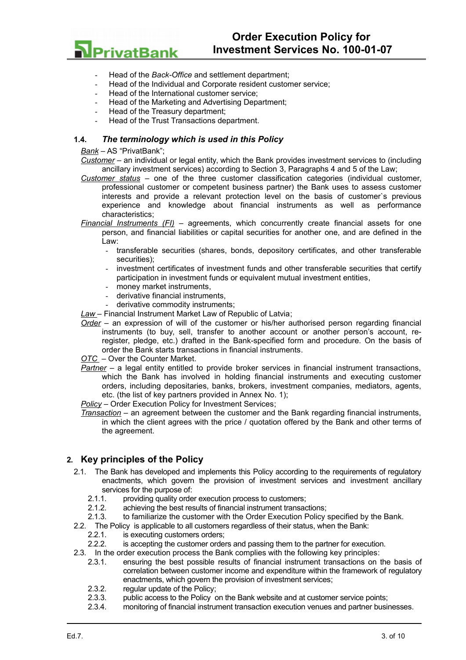

- Head of the *Back-Office* and settlement department;
- Head of the Individual and Corporate resident customer service;
- Head of the International customer service;
- Head of the Marketing and Advertising Department;
- Head of the Treasury department;
- <span id="page-2-1"></span>Head of the Trust Transactions department.

#### **1.4.** *The terminology which is used in this Policy*

*Bank* – AS "PrivatBank";

*Customer* – an individual or legal entity, which the Bank provides investment services to (including ancillary investment services) according to Section 3, Paragraphs 4 and 5 of the Law;

- *Customer status* one of the three customer classification categories (individual customer, professional customer or competent business partner) the Bank uses to assess customer interests and provide a relevant protection level on the basis of customer`s previous experience and knowledge about financial instruments as well as performance characteristics;
- *Financial Instruments (FI)* agreements, which concurrently create financial assets for one person, and financial liabilities or capital securities for another one, and are defined in the Law:
	- transferable securities (shares, bonds, depository certificates, and other transferable securities);
	- investment certificates of investment funds and other transferable securities that certify participation in investment funds or equivalent mutual investment entities,
	- money market instruments.
	- derivative financial instruments,
	- derivative commodity instruments;
- *Law*  Financial Instrument Market Law of Republic of Latvia;
- *Order* an expression of will of the customer or his/her authorised person regarding financial instruments (to buy, sell, transfer to another account or another person's account, reregister, pledge, etc.) drafted in the Bank-specified form and procedure. On the basis of order the Bank starts transactions in financial instruments.

*OTC* – Over the Counter Market.

*Partner* – a legal entity entitled to provide broker services in financial instrument transactions, which the Bank has involved in holding financial instruments and executing customer orders, including depositaries, banks, brokers, investment companies, mediators, agents, etc. (the list of key partners provided in Annex No. 1);

*Policy* – Order Execution Policy for Investment Services;

*Transaction* – an agreement between the customer and the Bank regarding financial instruments, in which the client agrees with the price / quotation offered by the Bank and other terms of the agreement.

## <span id="page-2-0"></span>**2. Key principles of the Policy**

- 2.1. The Bank has developed and implements this Policy according to the requirements of regulatory enactments, which govern the provision of investment services and investment ancillary services for the purpose of:
	- 2.1.1. providing quality order execution process to customers;
	- 2.1.2. achieving the best results of financial instrument transactions;
	- 2.1.3. to familiarize the customer with the Order Execution Policy specified by the Bank.
- 2.2. The Policy is applicable to all customers regardless of their status, when the Bank:
	- 2.2.1. is executing customers orders;
	- 2.2.2. is accepting the customer orders and passing them to the partner for execution.
- 2.3. In the order execution process the Bank complies with the following key principles:
	- 2.3.1. ensuring the best possible results of financial instrument transactions on the basis of correlation between customer income and expenditure within the framework of regulatory enactments, which govern the provision of investment services;
	- 2.3.2. regular update of the Policy;
	- 2.3.3. public access to the Policy on the Bank website and at customer service points;<br>2.3.4. monitoring of financial instrument transaction execution venues and partner busin
	- 2.3.4. monitoring of financial instrument transaction execution venues and partner businesses.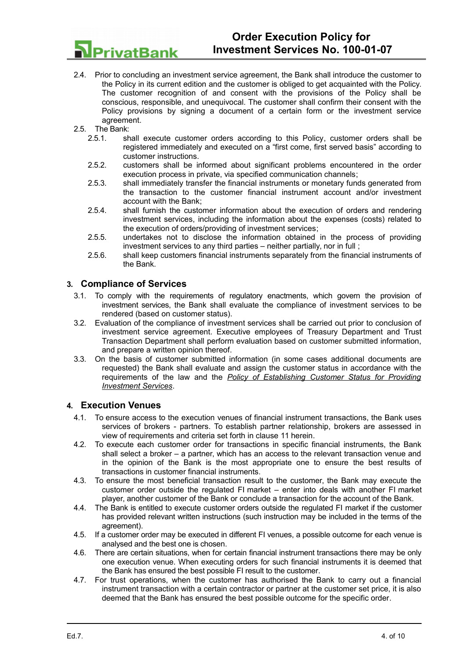

- 2.4. Prior to concluding an investment service agreement, the Bank shall introduce the customer to the Policy in its current edition and the customer is obliged to get acquainted with the Policy. The customer recognition of and consent with the provisions of the Policy shall be conscious, responsible, and unequivocal. The customer shall confirm their consent with the Policy provisions by signing a document of a certain form or the investment service agreement.
- 2.5. The Bank:
	- 2.5.1. shall execute customer orders according to this Policy, customer orders shall be registered immediately and executed on a "first come, first served basis" according to customer instructions.
	- 2.5.2. customers shall be informed about significant problems encountered in the order execution process in private, via specified communication channels;
	- 2.5.3. shall immediately transfer the financial instruments or monetary funds generated from the transaction to the customer financial instrument account and/or investment account with the Bank;
	- 2.5.4. shall furnish the customer information about the execution of orders and rendering investment services, including the information about the expenses (costs) related to the execution of orders/providing of investment services;
	- 2.5.5. undertakes not to disclose the information obtained in the process of providing investment services to any third parties – neither partially, nor in full ;
	- 2.5.6. shall keep customers financial instruments separately from the financial instruments of the Bank.

## <span id="page-3-1"></span>**3. Compliance of Services**

- 3.1. To comply with the requirements of regulatory enactments, which govern the provision of investment services, the Bank shall evaluate the compliance of investment services to be rendered (based on customer status).
- 3.2. Evaluation of the compliance of investment services shall be carried out prior to conclusion of investment service agreement. Executive employees of Treasury Department and Trust Transaction Department shall perform evaluation based on customer submitted information, and prepare a written opinion thereof.
- 3.3. On the basis of customer submitted information (in some cases additional documents are requested) the Bank shall evaluate and assign the customer status in accordance with the requirements of the law and the *Policy of Establishing Customer Status for Providing Investment Services*.

## <span id="page-3-0"></span>**4. Execution Venues**

- 4.1. To ensure access to the execution venues of financial instrument transactions, the Bank uses services of brokers - partners. To establish partner relationship, brokers are assessed in view of requirements and criteria set forth in clause [11](#page-6-1) herein.
- 4.2. To execute each customer order for transactions in specific financial instruments, the Bank shall select a broker – a partner, which has an access to the relevant transaction venue and in the opinion of the Bank is the most appropriate one to ensure the best results of transactions in customer financial instruments.
- 4.3. To ensure the most beneficial transaction result to the customer, the Bank may execute the customer order outside the regulated FI market – enter into deals with another FI market player, another customer of the Bank or conclude a transaction for the account of the Bank.
- 4.4. The Bank is entitled to execute customer orders outside the regulated FI market if the customer has provided relevant written instructions (such instruction may be included in the terms of the agreement).
- 4.5. If a customer order may be executed in different FI venues, a possible outcome for each venue is analysed and the best one is chosen.
- 4.6. There are certain situations, when for certain financial instrument transactions there may be only one execution venue. When executing orders for such financial instruments it is deemed that the Bank has ensured the best possible FI result to the customer.
- 4.7. For trust operations, when the customer has authorised the Bank to carry out a financial instrument transaction with a certain contractor or partner at the customer set price, it is also deemed that the Bank has ensured the best possible outcome for the specific order.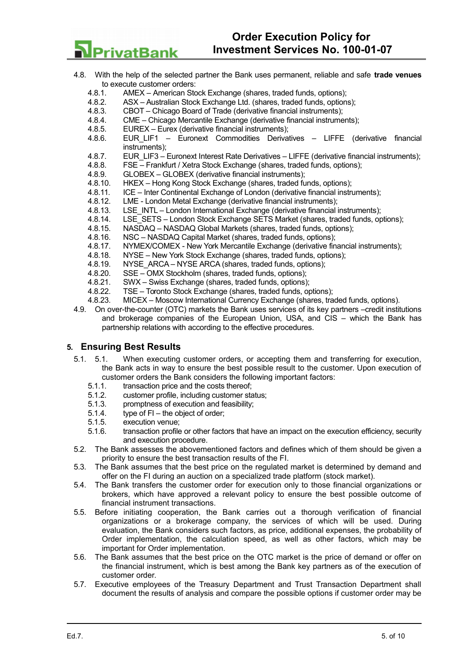4.8. With the help of the selected partner the Bank uses permanent, reliable and safe **trade venues** to execute customer orders:<br>4 8 1 AMEX – American Str

- AMEX American Stock Exchange (shares, traded funds, options);
- 4.8.2. ASX Australian Stock Exchange Ltd. (shares, traded funds, options);
- 4.8.3. CBOT Chicago Board of Trade (derivative financial instruments);
- 4.8.4. CME Chicago Mercantile Exchange (derivative financial instruments);
- 4.8.5. EUREX Eurex (derivative financial instruments);
- 4.8.6. EUR\_LIF1 Euronext Commodities Derivatives LIFFE (derivative financial instruments);
- 4.8.7. EUR\_LIF3 Euronext Interest Rate Derivatives LIFFE (derivative financial instruments);
- 4.8.8. FSE Frankfurt / Xetra Stock Exchange (shares, traded funds, options);
- 4.8.9. GLOBEX GLOBEX (derivative financial instruments);
- 4.8.10. HKEX Hong Kong Stock Exchange (shares, traded funds, options);
- 4.8.11. ICE Inter Continental Exchange of London (derivative financial instruments);<br>4.8.12. LME London Metal Exchange (derivative financial instruments);
- LME London Metal Exchange (derivative financial instruments);
- 4.8.13. LSE INTL London International Exchange (derivative financial instruments);
- 4.8.14. LSE\_SETS London Stock Exchange SETS Market (shares, traded funds, options);
- 4.8.15. NASDAQ NASDAQ Global Markets (shares, traded funds, options);
- 4.8.16. NSC NASDAQ Capital Market (shares, traded funds, options);
- 4.8.17. NYMEX/СOMEX New York Mercantile Exchange (derivative financial instruments);
- 4.8.18. NYSE New York Stock Exchange (shares, traded funds, options);
- 4.8.19. NYSE\_ARCA NYSE ARCA (shares, traded funds, options);
- 4.8.20. SSE OMX Stockholm (shares, traded funds, options);
- 4.8.21. SWX Swiss Exchange (shares, traded funds, options);
- 4.8.22. TSE Toronto Stock Exchange (shares, traded funds, options);
- 4.8.23. MICEX Moscow International Currency Exchange (shares, traded funds, options).
- 4.9. On over-the-counter (OTC) markets the Bank uses services of its key partners –credit institutions and brokerage companies of the European Union, USA, and CIS – which the Bank has partnership relations with according to the effective procedures.

## <span id="page-4-0"></span>**5. Ensuring Best Results**

PrivatBank

- 5.1. 5.1. When executing customer orders, or accepting them and transferring for execution, the Bank acts in way to ensure the best possible result to the customer. Upon execution of customer orders the Bank considers the following important factors:
	- 5.1.1. transaction price and the costs thereof;
	- 5.1.2. customer profile, including customer status;
	- 5.1.3. promptness of execution and feasibility;
	- 5.1.4. type of FI the object of order;
	- 5.1.5. execution venue;
	- 5.1.6. transaction profile or other factors that have an impact on the execution efficiency, security and execution procedure.
- 5.2. The Bank assesses the abovementioned factors and defines which of them should be given a priority to ensure the best transaction results of the FI.
- 5.3. The Bank assumes that the best price on the regulated market is determined by demand and offer on the FI during an auction on a specialized trade platform (stock market).
- 5.4. The Bank transfers the customer order for execution only to those financial organizations or brokers, which have approved a relevant policy to ensure the best possible outcome of financial instrument transactions.
- 5.5. Before initiating cooperation, the Bank carries out a thorough verification of financial organizations or a brokerage company, the services of which will be used. During evaluation, the Bank considers such factors, as price, additional expenses, the probability of Order implementation, the calculation speed, as well as other factors, which may be important for Order implementation.
- 5.6. The Bank assumes that the best price on the OTC market is the price of demand or offer on the financial instrument, which is best among the Bank key partners as of the execution of customer order.
- 5.7. Executive employees of the Treasury Department and Trust Transaction Department shall document the results of analysis and compare the possible options if customer order may be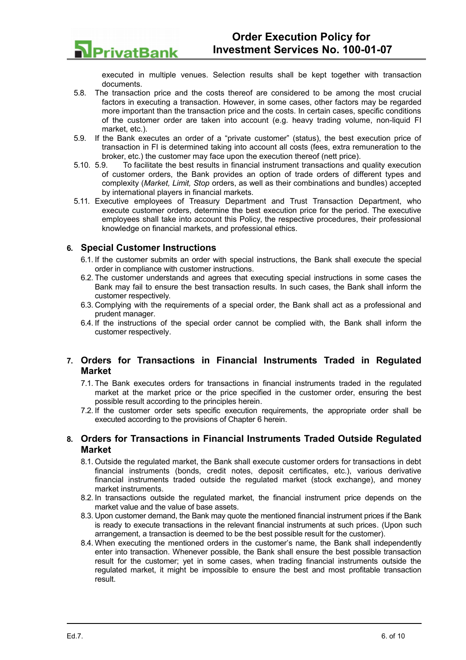executed in multiple venues. Selection results shall be kept together with transaction documents.

- 5.8. The transaction price and the costs thereof are considered to be among the most crucial factors in executing a transaction. However, in some cases, other factors may be regarded more important than the transaction price and the costs. In certain cases, specific conditions of the customer order are taken into account (e.g. heavy trading volume, non-liquid FI market, etc.).
- 5.9. If the Bank executes an order of a "private customer" (status), the best execution price of transaction in FI is determined taking into account all costs (fees, extra remuneration to the broker, etc.) the customer may face upon the execution thereof (nett price).
- 5.10. 5.9. To facilitate the best results in financial instrument transactions and quality execution of customer orders, the Bank provides an option of trade orders of different types and complexity (*Market, Limit, Stop* orders, as well as their combinations and bundles) accepted by international players in financial markets.
- 5.11. Executive employees of Treasury Department and Trust Transaction Department, who execute customer orders, determine the best execution price for the period. The executive employees shall take into account this Policy, the respective procedures, their professional knowledge on financial markets, and professional ethics.

## **6. Special Customer Instructions**

**PrivatBank** 

- <span id="page-5-2"></span>6.1. If the customer submits an order with special instructions, the Bank shall execute the special order in compliance with customer instructions.
- 6.2. The customer understands and agrees that executing special instructions in some cases the Bank may fail to ensure the best transaction results. In such cases, the Bank shall inform the customer respectively.
- 6.3. Complying with the requirements of a special order, the Bank shall act as a professional and prudent manager.
- 6.4. If the instructions of the special order cannot be complied with, the Bank shall inform the customer respectively.

## <span id="page-5-1"></span>**7. Orders for Transactions in Financial Instruments Traded in Regulated Market**

- 7.1. The Bank executes orders for transactions in financial instruments traded in the regulated market at the market price or the price specified in the customer order, ensuring the best possible result according to the principles herein.
- 7.2. If the customer order sets specific execution requirements, the appropriate order shall be executed according to the provisions of Chapter [6](#page-5-2) herein.

## <span id="page-5-0"></span>**8. Orders for Transactions in Financial Instruments Traded Outside Regulated Market**

- 8.1. Outside the regulated market, the Bank shall execute customer orders for transactions in debt financial instruments (bonds, credit notes, deposit certificates, etc.), various derivative financial instruments traded outside the regulated market (stock exchange), and money market instruments.
- 8.2. In transactions outside the regulated market, the financial instrument price depends on the market value and the value of base assets.
- 8.3. Upon customer demand, the Bank may quote the mentioned financial instrument prices if the Bank is ready to execute transactions in the relevant financial instruments at such prices. (Upon such arrangement, a transaction is deemed to be the best possible result for the customer).
- 8.4. When executing the mentioned orders in the customer's name, the Bank shall independently enter into transaction. Whenever possible, the Bank shall ensure the best possible transaction result for the customer; yet in some cases, when trading financial instruments outside the regulated market, it might be impossible to ensure the best and most profitable transaction result.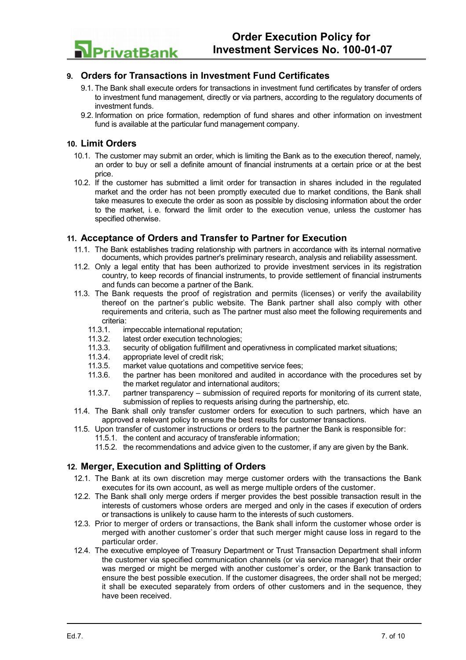

## **9. Orders for Transactions in Investment Fund Certificates**

- <span id="page-6-3"></span>9.1. The Bank shall execute orders for transactions in investment fund certificates by transfer of orders to investment fund management, directly or via partners, according to the regulatory documents of investment funds.
- 9.2. Information on price formation, redemption of fund shares and other information on investment fund is available at the particular fund management company.

### <span id="page-6-2"></span>**10. Limit Orders**

- 10.1. The customer may submit an order, which is limiting the Bank as to the execution thereof, namely, an order to buy or sell a definite amount of financial instruments at a certain price or at the best price.
- 10.2. If the customer has submitted a limit order for transaction in shares included in the regulated market and the order has not been promptly executed due to market conditions, the Bank shall take measures to execute the order as soon as possible by disclosing information about the order to the market, i. e. forward the limit order to the execution venue, unless the customer has specified otherwise.

### **11. Acceptance of Orders and Transfer to Partner for Execution**

- <span id="page-6-1"></span>11.1. The Bank establishes trading relationship with partners in accordance with its internal normative documents, which provides partner's preliminary research, analysis and reliability assessment.
- 11.2. Only a legal entity that has been authorized to provide investment services in its registration country, to keep records of financial instruments, to provide settlement of financial instruments and funds can become a partner of the Bank.
- 11.3. The Bank requests the proof of registration and permits (licenses) or verify the availability thereof on the partner's public website. The Bank partner shall also comply with other requirements and criteria, such as The partner must also meet the following requirements and criteria:
	- 11.3.1. impeccable international reputation;
	- 11.3.2. latest order execution technologies;
	- 11.3.3. security of obligation fulfillment and operativness in complicated market situations;
	- 11.3.4. appropriate level of credit risk;<br>11.3.5. market value quotations and c
	- 11.3.5. market value quotations and competitive service fees;<br>11.3.6. the partner has been monitored and audited in acco
	- the partner has been monitored and audited in accordance with the procedures set by the market regulator and international auditors;
	- 11.3.7. partner transparency submission of required reports for monitoring of its current state, submission of replies to requests arising during the partnership, etc.
- 11.4. The Bank shall only transfer customer orders for execution to such partners, which have an approved a relevant policy to ensure the best results for customer transactions.
- 11.5. Upon transfer of customer instructions or orders to the partner the Bank is responsible for: 11.5.1. the content and accuracy of transferable information;
	- 11.5.2. the recommendations and advice given to the customer, if any are given by the Bank.

# <span id="page-6-0"></span>**12. Merger, Execution and Splitting of Orders**

- 12.1. The Bank at its own discretion may merge customer orders with the transactions the Bank executes for its own account, as well as merge multiple orders of the customer.
- 12.2. The Bank shall only merge orders if merger provides the best possible transaction result in the interests of customers whose orders are merged and only in the cases if execution of orders or transactions is unlikely to cause harm to the interests of such customers.
- 12.3. Prior to merger of orders or transactions, the Bank shall inform the customer whose order is merged with another customer`s order that such merger might cause loss in regard to the particular order.
- 12.4. The executive employee of Treasury Department or Trust Transaction Department shall inform the customer via specified communication channels (or via service manager) that their order was merged or might be merged with another customer`s order, or the Bank transaction to ensure the best possible execution. If the customer disagrees, the order shall not be merged; it shall be executed separately from orders of other customers and in the sequence, they have been received.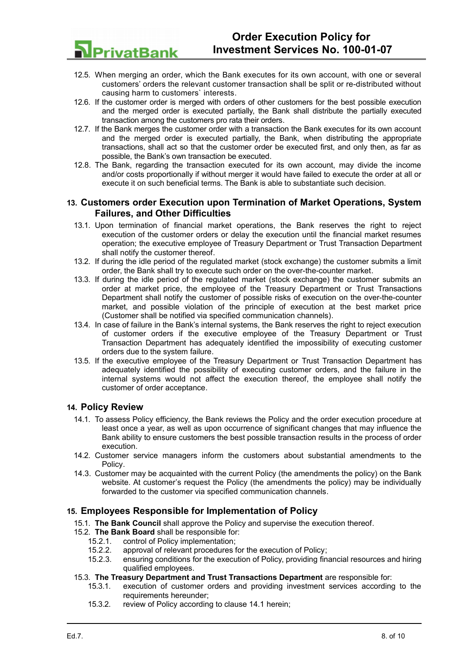

- 12.5. When merging an order, which the Bank executes for its own account, with one or several customers' orders the relevant customer transaction shall be split or re-distributed without causing harm to customers` interests.
- 12.6. If the customer order is merged with orders of other customers for the best possible execution and the merged order is executed partially, the Bank shall distribute the partially executed transaction among the customers pro rata their orders.
- 12.7. If the Bank merges the customer order with a transaction the Bank executes for its own account and the merged order is executed partially, the Bank, when distributing the appropriate transactions, shall act so that the customer order be executed first, and only then, as far as possible, the Bank's own transaction be executed.
- 12.8. The Bank, regarding the transaction executed for its own account, may divide the income and/or costs proportionally if without merger it would have failed to execute the order at all or execute it on such beneficial terms. The Bank is able to substantiate such decision.

## <span id="page-7-2"></span>**13. Customers order Execution upon Termination of Market Operations, System Failures, and Other Difficulties**

- 13.1. Upon termination of financial market operations, the Bank reserves the right to reject execution of the customer orders or delay the execution until the financial market resumes operation; the executive employee of Treasury Department or Trust Transaction Department shall notify the customer thereof.
- 13.2. If during the idle period of the regulated market (stock exchange) the customer submits a limit order, the Bank shall try to execute such order on the over-the-counter market.
- 13.3. If during the idle period of the regulated market (stock exchange) the customer submits an order at market price, the employee of the Treasury Department or Trust Transactions Department shall notify the customer of possible risks of execution on the over-the-counter market, and possible violation of the principle of execution at the best market price (Customer shall be notified via specified communication channels).
- 13.4. In case of failure in the Bank's internal systems, the Bank reserves the right to reject execution of customer orders if the executive employee of the Treasury Department or Trust Transaction Department has adequately identified the impossibility of executing customer orders due to the system failure.
- 13.5. If the executive employee of the Treasury Department or Trust Transaction Department has adequately identified the possibility of executing customer orders, and the failure in the internal systems would not affect the execution thereof, the employee shall notify the customer of order acceptance.

# <span id="page-7-1"></span>**14. Policy Review**

- 14.1. To assess Policy efficiency, the Bank reviews the Policy and the order execution procedure at least once a year, as well as upon occurrence of significant changes that may influence the Bank ability to ensure customers the best possible transaction results in the process of order execution.
- 14.2. Customer service managers inform the customers about substantial amendments to the Policy.
- 14.3. Customer may be acquainted with the current Policy (the amendments the policy) on the Bank website. At customer's request the Policy (the amendments the policy) may be individually forwarded to the customer via specified communication channels.

# <span id="page-7-0"></span>**15. Employees Responsible for Implementation of Policy**

- 15.1. **The Bank Council** shall approve the Policy and supervise the execution thereof.
- 15.2. **The Bank Board** shall be responsible for:
	- 15.2.1. control of Policy implementation;
		- 15.2.2. approval of relevant procedures for the execution of Policy;
		- 15.2.3. ensuring conditions for the execution of Policy, providing financial resources and hiring qualified employees.

#### 15.3. **The Treasury Department and Trust Transactions Department** are responsible for:

- 15.3.1. execution of customer orders and providing investment services according to the requirements hereunder;
- 15.3.2. review of Policy according to clause 14.1 herein;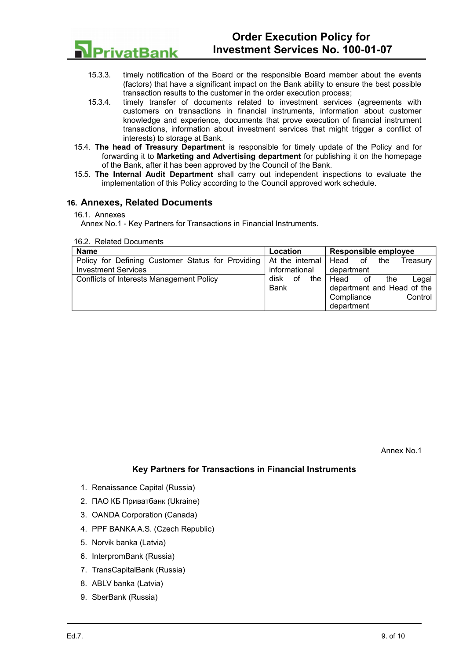

- 15.3.3. timely notification of the Board or the responsible Board member about the events (factors) that have a significant impact on the Bank ability to ensure the best possible transaction results to the customer in the order execution process;
- 15.3.4. timely transfer of documents related to investment services (agreements with customers on transactions in financial instruments, information about customer knowledge and experience, documents that prove execution of financial instrument transactions, information about investment services that might trigger a conflict of interests) to storage at Bank.
- 15.4. **The head of Treasury Department** is responsible for timely update of the Policy and for forwarding it to **Marketing and Advertising department** for publishing it on the homepage of the Bank, after it has been approved by the Council of the Bank.
- 15.5. **The Internal Audit Department** shall carry out independent inspections to evaluate the implementation of this Policy according to the Council approved work schedule.

## <span id="page-8-0"></span>**16. Annexes, Related Documents**

16.1. Annexes

Annex No.1 - Key Partners for Transactions in Financial Instruments.

16.2. Related Documents

| <b>Name</b>                                       | Location          | <b>Responsible employee</b>   |  |  |
|---------------------------------------------------|-------------------|-------------------------------|--|--|
| Policy for Defining Customer Status for Providing | At the internal   | Head<br>the<br>of<br>Treasurv |  |  |
| <b>Investment Services</b>                        | informational     | department                    |  |  |
| Conflicts of Interests Management Policy          | the<br>disk<br>οf | Head<br>the<br>Legal<br>οt    |  |  |
|                                                   | <b>Bank</b>       | department and Head of the    |  |  |
|                                                   |                   | Compliance<br>Control         |  |  |
|                                                   |                   | department                    |  |  |

Annex No.1

## **Key Partners for Transactions in Financial Instruments**

- 1. Renaissance Capital (Russia)
- 2. ПАО КБ Приватбанк (Ukraine)
- 3. OANDA Corporation (Canada)
- 4. PPF BANKA A.S. (Czech Republic)
- 5. Norvik banka (Latvia)
- 6. InterpromBank (Russia)
- 7. TransCapitalBank (Russia)
- 8. ABLV banka (Latvia)
- 9. SberBank (Russia)